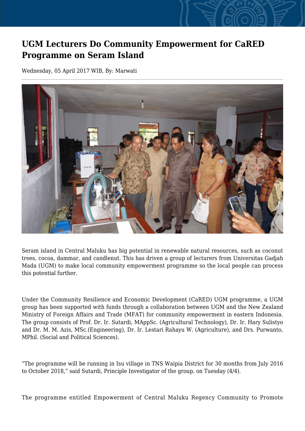## **UGM Lecturers Do Community Empowerment for CaRED Programme on Seram Island**

Wednesday, 05 April 2017 WIB, By: Marwati



Seram island in Central Maluku has big potential in renewable natural resources, such as coconut trees, cocoa, dammar, and candlenut. This has driven a group of lecturers from Universitas Gadjah Mada (UGM) to make local community empowerment programme so the local people can process this potential further.

Under the Community Resilience and Economic Development (CaRED) UGM programme, a UGM group has been supported with funds through a collaboration between UGM and the New Zealand Ministry of Foreign Affairs and Trade (MFAT) for community empowerment in eastern Indonesia. The group consists of Prof. Dr. Ir. Sutardi, MAppSc. (Agricultural Technology), Dr. Ir. Hary Sulistyo and Dr. M. M. Azis, MSc.(Engineering), Dr. Ir. Lestari Rahayu W. (Agriculture), and Drs. Purwanto, MPhil. (Social and Political Sciences).

"The programme will be running in Isu village in TNS Waipia District for 30 months from July 2016 to October 2018," said Sutardi, Principle Investigator of the group, on Tuesday (4/4).

The programme entitled Empowerment of Central Maluku Regency Community to Promote